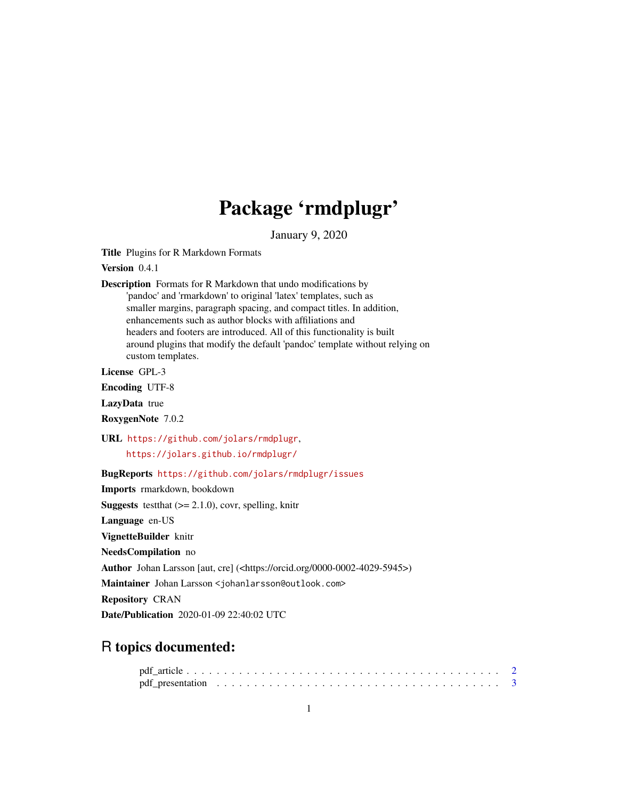## Package 'rmdplugr'

January 9, 2020

Title Plugins for R Markdown Formats

Version 0.4.1

Description Formats for R Markdown that undo modifications by 'pandoc' and 'rmarkdown' to original 'latex' templates, such as smaller margins, paragraph spacing, and compact titles. In addition, enhancements such as author blocks with affiliations and headers and footers are introduced. All of this functionality is built around plugins that modify the default 'pandoc' template without relying on custom templates.

License GPL-3

Encoding UTF-8

LazyData true

RoxygenNote 7.0.2

URL <https://github.com/jolars/rmdplugr>,

<https://jolars.github.io/rmdplugr/>

BugReports <https://github.com/jolars/rmdplugr/issues>

Imports rmarkdown, bookdown

**Suggests** test that  $(>= 2.1.0)$ , covr, spelling, knitr

Language en-US

VignetteBuilder knitr

NeedsCompilation no

Author Johan Larsson [aut, cre] (<https://orcid.org/0000-0002-4029-5945>)

Maintainer Johan Larsson <johanlarsson@outlook.com>

Repository CRAN

Date/Publication 2020-01-09 22:40:02 UTC

### R topics documented: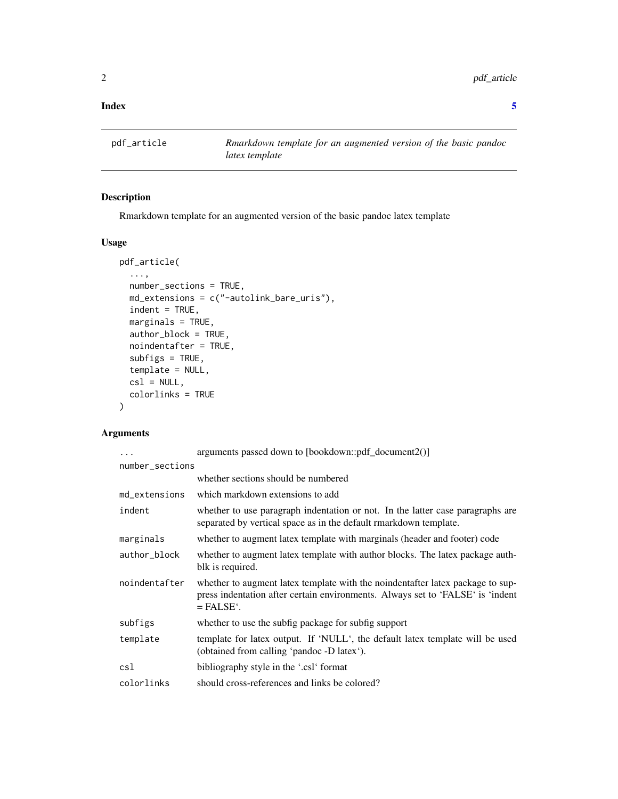#### <span id="page-1-0"></span>**Index** [5](#page-4-0). The second state of the second state of the second state of the second state of the second state of the second state of the second state of the second state of the second state of the second state of the second

pdf\_article *Rmarkdown template for an augmented version of the basic pandoc latex template*

#### Description

Rmarkdown template for an augmented version of the basic pandoc latex template

#### Usage

```
pdf_article(
  ...,
 number_sections = TRUE,
 md_extensions = c("-autolink_bare_uris"),
  indent = TRUE,marginals = TRUE,
 author_block = TRUE,
  noindentafter = TRUE,
  subfigs = TRUE,template = NULL,
 cs1 = NULL,colorlinks = TRUE
\mathcal{L}
```
#### Arguments

| .               | arguments passed down to [bookdown::pdf_document2()]                                                                                                                                          |
|-----------------|-----------------------------------------------------------------------------------------------------------------------------------------------------------------------------------------------|
| number_sections |                                                                                                                                                                                               |
|                 | whether sections should be numbered                                                                                                                                                           |
| md_extensions   | which markdown extensions to add                                                                                                                                                              |
| indent          | whether to use paragraph indentation or not. In the latter case paragraphs are<br>separated by vertical space as in the default rmarkdown template.                                           |
| marginals       | whether to augment latex template with marginals (header and footer) code                                                                                                                     |
| author_block    | whether to augment latex template with author blocks. The latex package auth-<br>blk is required.                                                                                             |
| noindentafter   | whether to augment latex template with the noindentafter latex package to sup-<br>press indentation after certain environments. Always set to 'FALSE' is 'indent<br>$=$ FALSE $\dot{\cdot}$ . |
| subfigs         | whether to use the subfig package for subfig support                                                                                                                                          |
| template        | template for latex output. If 'NULL', the default latex template will be used<br>(obtained from calling 'pandoc -D latex').                                                                   |
| csl             | bibliography style in the '.csl' format                                                                                                                                                       |
| colorlinks      | should cross-references and links be colored?                                                                                                                                                 |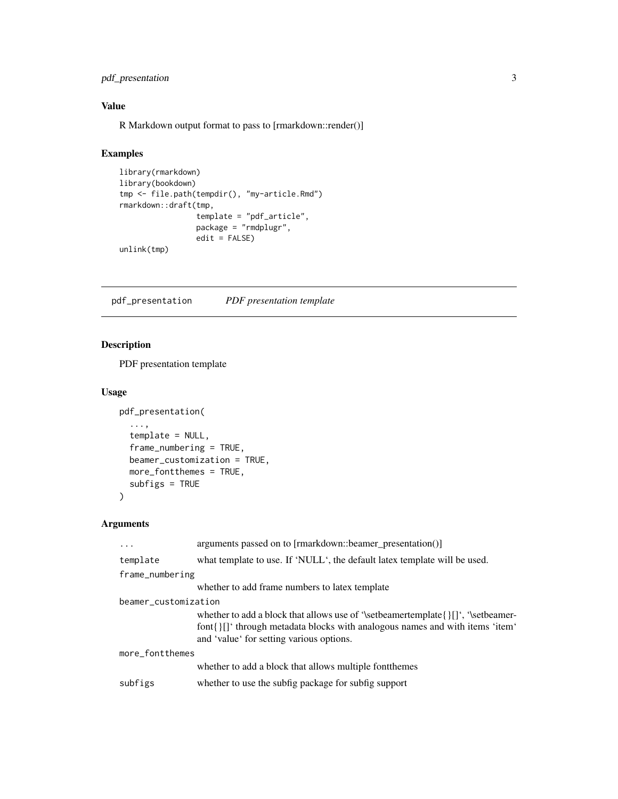#### <span id="page-2-0"></span>pdf\_presentation 3

#### Value

R Markdown output format to pass to [rmarkdown::render()]

#### Examples

```
library(rmarkdown)
library(bookdown)
tmp <- file.path(tempdir(), "my-article.Rmd")
rmarkdown::draft(tmp,
                 template = "pdf_article",
                 package = "rmdplugr",
                 edit = FALSE)
unlink(tmp)
```
pdf\_presentation *PDF presentation template*

#### Description

PDF presentation template

#### Usage

```
pdf_presentation(
  ...,
  template = NULL,
  frame_numbering = TRUE,
 beamer_customization = TRUE,
 more_fontthemes = TRUE,
  subfigs = TRUE
)
```
#### Arguments

| $\cdots$             | arguments passed on to [rmarkdown::beamer_presentation()]                                                                                                                                                          |
|----------------------|--------------------------------------------------------------------------------------------------------------------------------------------------------------------------------------------------------------------|
| template             | what template to use. If 'NULL', the default latex template will be used.                                                                                                                                          |
| frame_numbering      |                                                                                                                                                                                                                    |
|                      | whether to add frame numbers to latex template                                                                                                                                                                     |
| beamer_customization |                                                                                                                                                                                                                    |
|                      | whether to add a block that allows use of '\setbeamertemplate{} $\iint$ ', '\setbeamer-<br>font{}[] through metadata blocks with analogous names and with items 'item'<br>and 'value' for setting various options. |
| more_fontthemes      |                                                                                                                                                                                                                    |
|                      | whether to add a block that allows multiple font themes                                                                                                                                                            |
| subfigs              | whether to use the subfig package for subfig support                                                                                                                                                               |
|                      |                                                                                                                                                                                                                    |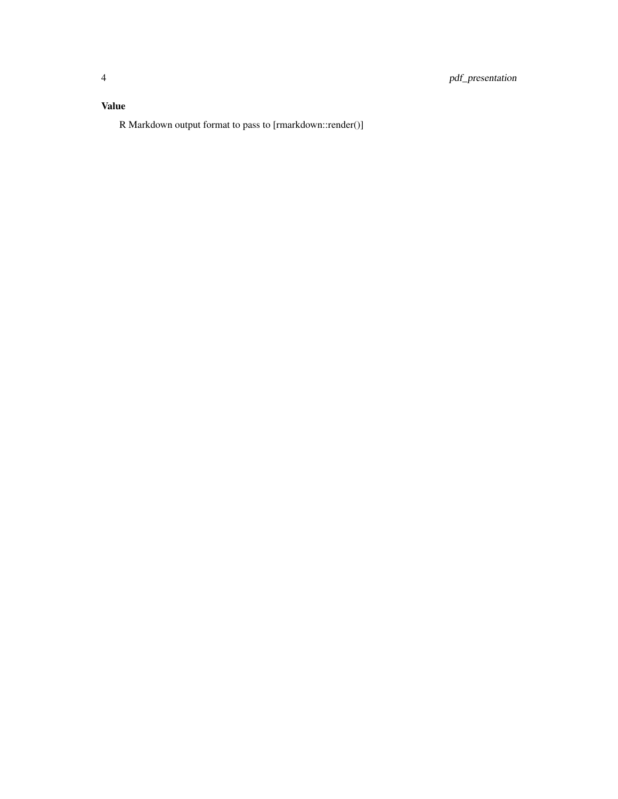#### Value

R Markdown output format to pass to [rmarkdown::render()]